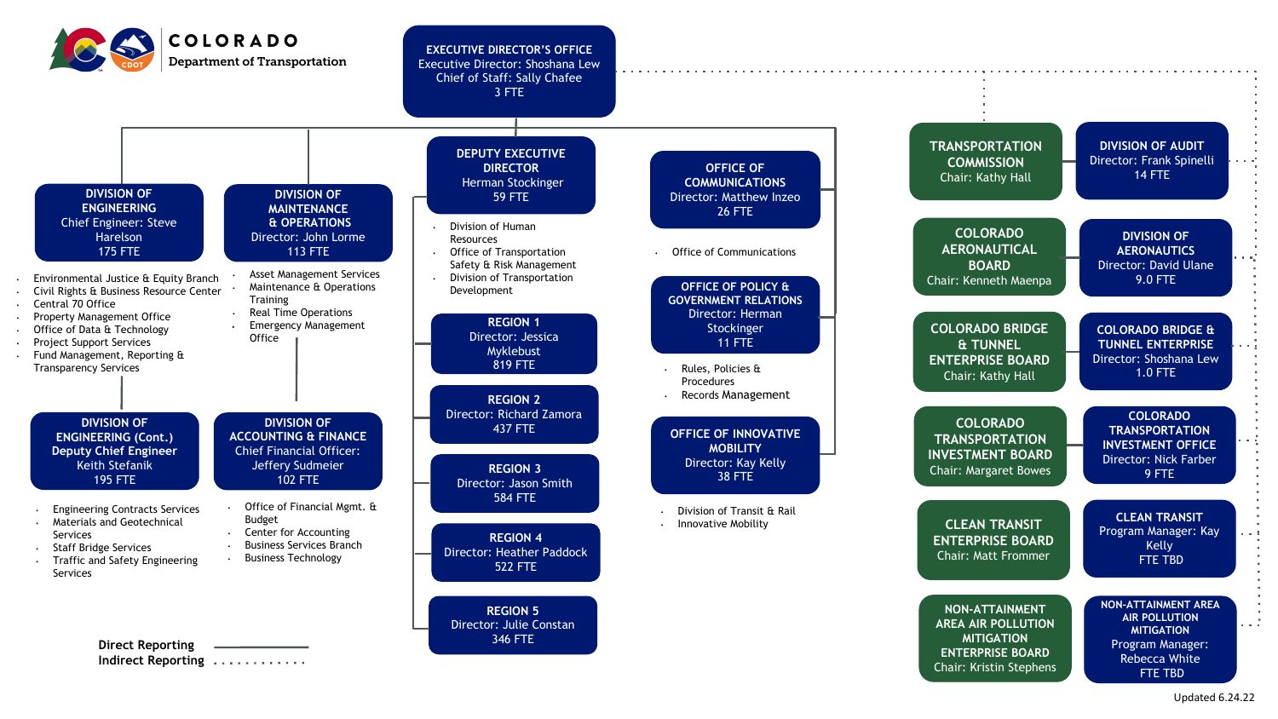